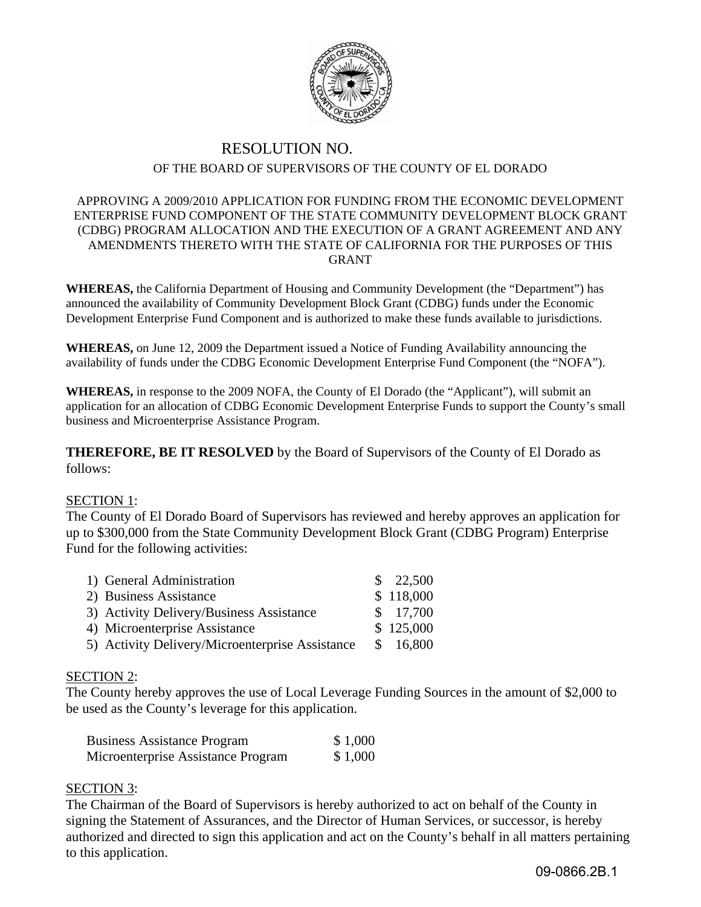

# RESOLUTION NO. OF THE BOARD OF SUPERVISORS OF THE COUNTY OF EL DORADO

### APPROVING A 2009/2010 APPLICATION FOR FUNDING FROM THE ECONOMIC DEVELOPMENT ENTERPRISE FUND COMPONENT OF THE STATE COMMUNITY DEVELOPMENT BLOCK GRANT (CDBG) PROGRAM ALLOCATION AND THE EXECUTION OF A GRANT AGREEMENT AND ANY AMENDMENTS THERETO WITH THE STATE OF CALIFORNIA FOR THE PURPOSES OF THIS GRANT

**WHEREAS,** the California Department of Housing and Community Development (the "Department") has announced the availability of Community Development Block Grant (CDBG) funds under the Economic Development Enterprise Fund Component and is authorized to make these funds available to jurisdictions.

**WHEREAS,** on June 12, 2009 the Department issued a Notice of Funding Availability announcing the availability of funds under the CDBG Economic Development Enterprise Fund Component (the "NOFA").

**WHEREAS,** in response to the 2009 NOFA, the County of El Dorado (the "Applicant"), will submit an application for an allocation of CDBG Economic Development Enterprise Funds to support the County's small business and Microenterprise Assistance Program.

**THEREFORE, BE IT RESOLVED** by the Board of Supervisors of the County of El Dorado as follows:

### SECTION 1:

The County of El Dorado Board of Supervisors has reviewed and hereby approves an application for up to \$300,000 from the State Community Development Block Grant (CDBG Program) Enterprise Fund for the following activities:

| 1) General Administration                       | \$22,500  |
|-------------------------------------------------|-----------|
| 2) Business Assistance                          | \$118,000 |
| 3) Activity Delivery/Business Assistance        | \$17,700  |
| 4) Microenterprise Assistance                   | \$125,000 |
| 5) Activity Delivery/Microenterprise Assistance | \$16,800  |

## SECTION 2:

The County hereby approves the use of Local Leverage Funding Sources in the amount of \$2,000 to be used as the County's leverage for this application.

| <b>Business Assistance Program</b> | \$1,000 |
|------------------------------------|---------|
| Microenterprise Assistance Program | \$1,000 |

### SECTION 3:

The Chairman of the Board of Supervisors is hereby authorized to act on behalf of the County in signing the Statement of Assurances, and the Director of Human Services, or successor, is hereby authorized and directed to sign this application and act on the County's behalf in all matters pertaining to this application.